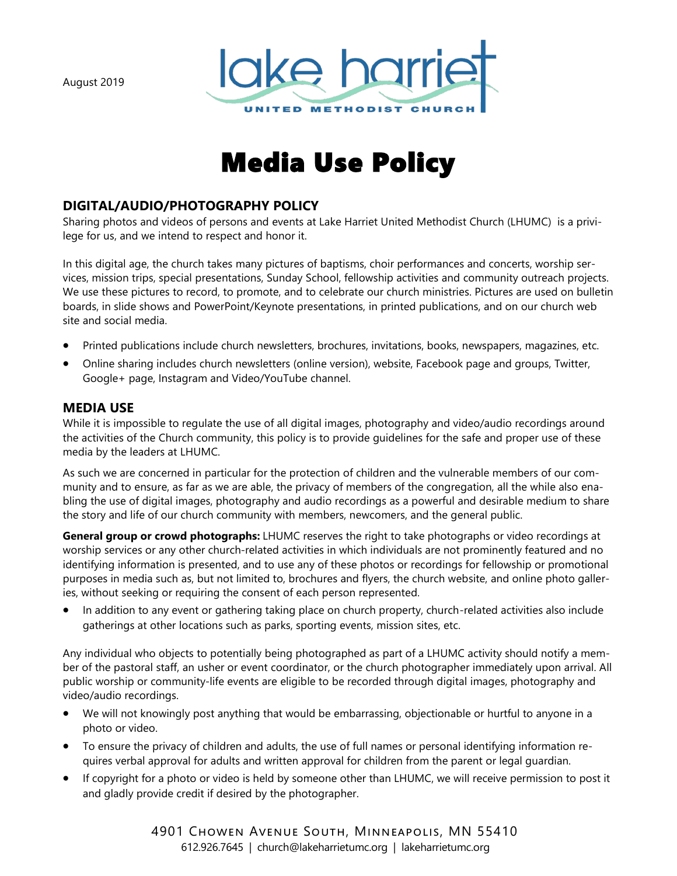August 2019



# Media Use Policy

## **DIGITAL/AUDIO/PHOTOGRAPHY POLICY**

Sharing photos and videos of persons and events at Lake Harriet United Methodist Church (LHUMC) is a privilege for us, and we intend to respect and honor it.

In this digital age, the church takes many pictures of baptisms, choir performances and concerts, worship services, mission trips, special presentations, Sunday School, fellowship activities and community outreach projects. We use these pictures to record, to promote, and to celebrate our church ministries. Pictures are used on bulletin boards, in slide shows and PowerPoint/Keynote presentations, in printed publications, and on our church web site and social media.

- Printed publications include church newsletters, brochures, invitations, books, newspapers, magazines, etc.
- Online sharing includes church newsletters (online version), website, Facebook page and groups, Twitter, Google+ page, Instagram and Video/YouTube channel.

## **MEDIA USE**

While it is impossible to regulate the use of all digital images, photography and video/audio recordings around the activities of the Church community, this policy is to provide guidelines for the safe and proper use of these media by the leaders at LHUMC.

As such we are concerned in particular for the protection of children and the vulnerable members of our community and to ensure, as far as we are able, the privacy of members of the congregation, all the while also enabling the use of digital images, photography and audio recordings as a powerful and desirable medium to share the story and life of our church community with members, newcomers, and the general public.

**General group or crowd photographs:** LHUMC reserves the right to take photographs or video recordings at worship services or any other church-related activities in which individuals are not prominently featured and no identifying information is presented, and to use any of these photos or recordings for fellowship or promotional purposes in media such as, but not limited to, brochures and flyers, the church website, and online photo galleries, without seeking or requiring the consent of each person represented.

• In addition to any event or gathering taking place on church property, church-related activities also include gatherings at other locations such as parks, sporting events, mission sites, etc.

Any individual who objects to potentially being photographed as part of a LHUMC activity should notify a member of the pastoral staff, an usher or event coordinator, or the church photographer immediately upon arrival. All public worship or community-life events are eligible to be recorded through digital images, photography and video/audio recordings.

- We will not knowingly post anything that would be embarrassing, objectionable or hurtful to anyone in a photo or video.
- To ensure the privacy of children and adults, the use of full names or personal identifying information requires verbal approval for adults and written approval for children from the parent or legal guardian.
- If copyright for a photo or video is held by someone other than LHUMC, we will receive permission to post it and gladly provide credit if desired by the photographer.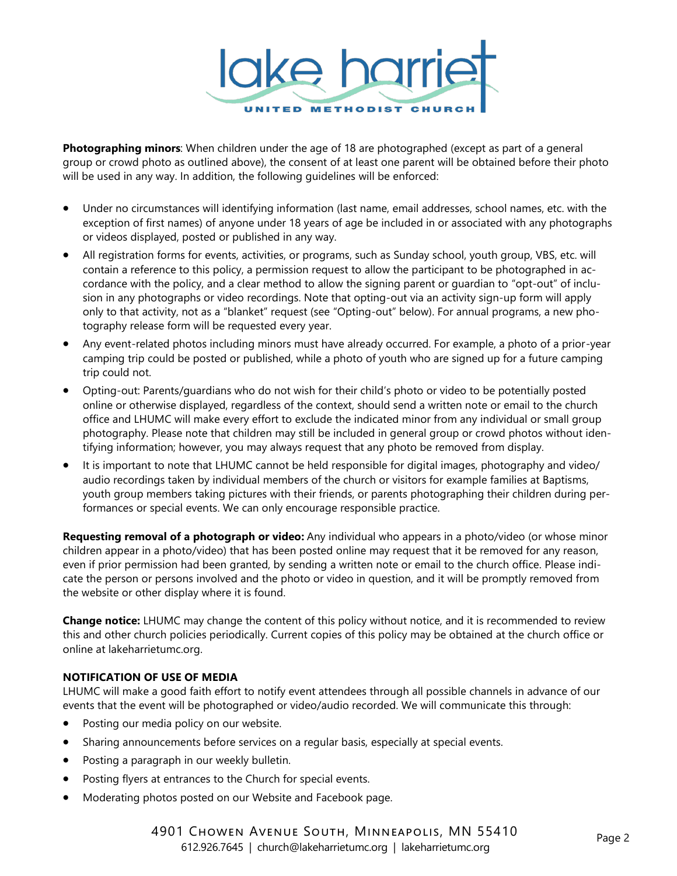

**Photographing minors**: When children under the age of 18 are photographed (except as part of a general group or crowd photo as outlined above), the consent of at least one parent will be obtained before their photo will be used in any way. In addition, the following guidelines will be enforced:

- Under no circumstances will identifying information (last name, email addresses, school names, etc. with the exception of first names) of anyone under 18 years of age be included in or associated with any photographs or videos displayed, posted or published in any way.
- All registration forms for events, activities, or programs, such as Sunday school, youth group, VBS, etc. will contain a reference to this policy, a permission request to allow the participant to be photographed in accordance with the policy, and a clear method to allow the signing parent or guardian to "opt-out" of inclusion in any photographs or video recordings. Note that opting-out via an activity sign-up form will apply only to that activity, not as a "blanket" request (see "Opting-out" below). For annual programs, a new photography release form will be requested every year.
- Any event-related photos including minors must have already occurred. For example, a photo of a prior-year camping trip could be posted or published, while a photo of youth who are signed up for a future camping trip could not.
- Opting-out: Parents/guardians who do not wish for their child's photo or video to be potentially posted online or otherwise displayed, regardless of the context, should send a written note or email to the church office and LHUMC will make every effort to exclude the indicated minor from any individual or small group photography. Please note that children may still be included in general group or crowd photos without identifying information; however, you may always request that any photo be removed from display.
- It is important to note that LHUMC cannot be held responsible for digital images, photography and video/ audio recordings taken by individual members of the church or visitors for example families at Baptisms, youth group members taking pictures with their friends, or parents photographing their children during performances or special events. We can only encourage responsible practice.

**Requesting removal of a photograph or video:** Any individual who appears in a photo/video (or whose minor children appear in a photo/video) that has been posted online may request that it be removed for any reason, even if prior permission had been granted, by sending a written note or email to the church office. Please indicate the person or persons involved and the photo or video in question, and it will be promptly removed from the website or other display where it is found.

**Change notice:** LHUMC may change the content of this policy without notice, and it is recommended to review this and other church policies periodically. Current copies of this policy may be obtained at the church office or online at lakeharrietumc.org.

#### **NOTIFICATION OF USE OF MEDIA**

LHUMC will make a good faith effort to notify event attendees through all possible channels in advance of our events that the event will be photographed or video/audio recorded. We will communicate this through:

- Posting our media policy on our website.
- Sharing announcements before services on a regular basis, especially at special events.
- Posting a paragraph in our weekly bulletin.
- Posting flyers at entrances to the Church for special events.
- Moderating photos posted on our Website and Facebook page.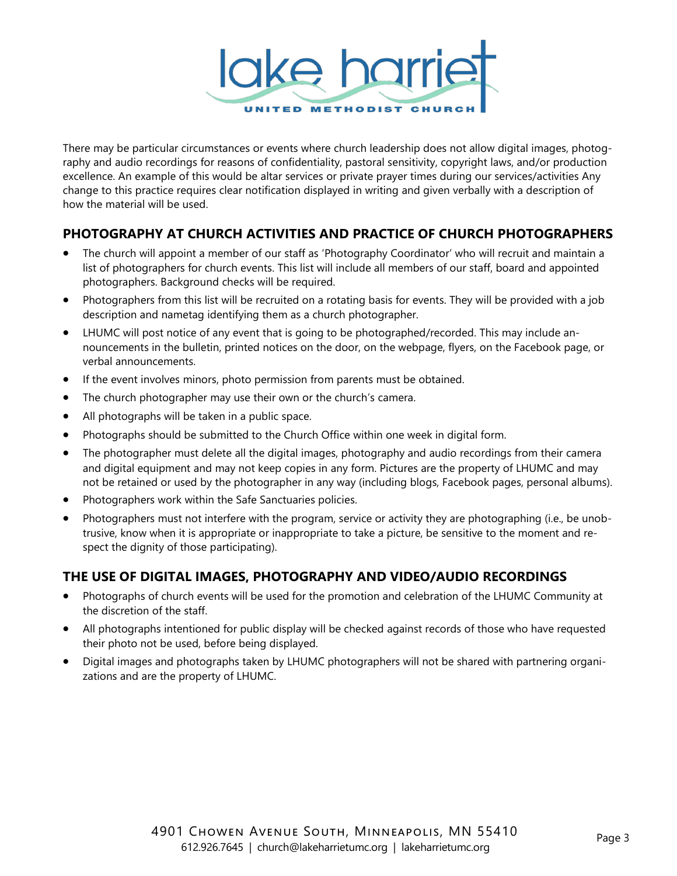

There may be particular circumstances or events where church leadership does not allow digital images, photography and audio recordings for reasons of confidentiality, pastoral sensitivity, copyright laws, and/or production excellence. An example of this would be altar services or private prayer times during our services/activities Any change to this practice requires clear notification displayed in writing and given verbally with a description of how the material will be used.

## **PHOTOGRAPHY AT CHURCH ACTIVITIES AND PRACTICE OF CHURCH PHOTOGRAPHERS**

- The church will appoint a member of our staff as 'Photography Coordinator' who will recruit and maintain a list of photographers for church events. This list will include all members of our staff, board and appointed photographers. Background checks will be required.
- Photographers from this list will be recruited on a rotating basis for events. They will be provided with a job description and nametag identifying them as a church photographer.
- LHUMC will post notice of any event that is going to be photographed/recorded. This may include announcements in the bulletin, printed notices on the door, on the webpage, flyers, on the Facebook page, or verbal announcements.
- If the event involves minors, photo permission from parents must be obtained.
- The church photographer may use their own or the church's camera.
- All photographs will be taken in a public space.
- Photographs should be submitted to the Church Office within one week in digital form.
- The photographer must delete all the digital images, photography and audio recordings from their camera and digital equipment and may not keep copies in any form. Pictures are the property of LHUMC and may not be retained or used by the photographer in any way (including blogs, Facebook pages, personal albums).
- Photographers work within the Safe Sanctuaries policies.
- Photographers must not interfere with the program, service or activity they are photographing (i.e., be unobtrusive, know when it is appropriate or inappropriate to take a picture, be sensitive to the moment and respect the dignity of those participating).

## **THE USE OF DIGITAL IMAGES, PHOTOGRAPHY AND VIDEO/AUDIO RECORDINGS**

- Photographs of church events will be used for the promotion and celebration of the LHUMC Community at the discretion of the staff.
- All photographs intentioned for public display will be checked against records of those who have requested their photo not be used, before being displayed.
- Digital images and photographs taken by LHUMC photographers will not be shared with partnering organizations and are the property of LHUMC.